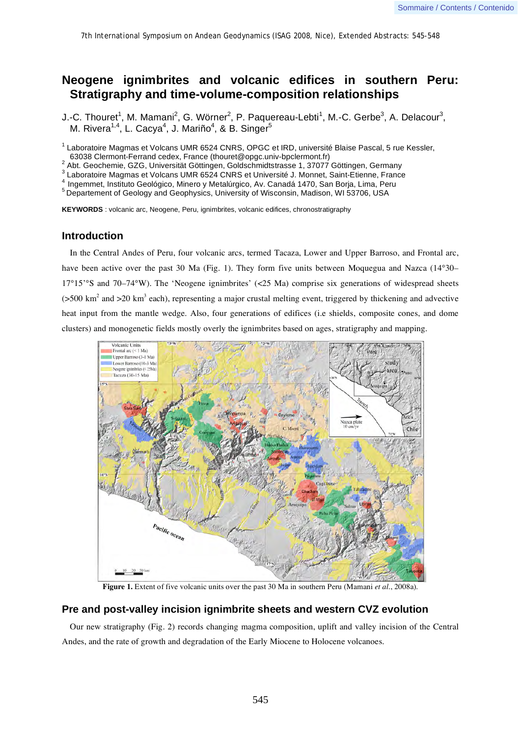# **Neogene ignimbrites and volcanic edifices in southern Peru: Stratigraphy and time-volume-composition relationships**

J.-C. Thouret<sup>1</sup>, M. Mamani<sup>2</sup>, G. Wörner<sup>2</sup>, P. Paquereau-Lebti<sup>1</sup>, M.-C. Gerbe<sup>3</sup>, A. Delacour<sup>3</sup>, M. Rivera $^{1,4}$ , L. Cacya $^{4}$ , J. Mariño $^{4}$ , & B. Singer $^{5}$ 

<sup>1</sup> Laboratoire Magmas et Volcans UMR 6524 CNRS, OPGC et IRD, université Blaise Pascal, 5 rue Kessler,

63038 Clermont-Ferrand cedex, France (thouret@opgc.univ-bpclermont.fr)<br><sup>2</sup> Abt. Geochemie, GZG, Universität Göttingen, Goldschmidtstrasse 1, 37077 Göttingen, Germany

3 Laboratoire Magmas et Volcans UMR 6524 CNRS et Université J. Monnet, Saint-Etienne, France

4 Ingemmet, Instituto Geológico, Minero y Metalúrgico, Av. Canadá 1470, San Borja, Lima, Peru<br>5 Departement of Geology and Geophysics, University of Wisconsin, Madison, WI 53706, USA

**KEYWORDS** : volcanic arc, Neogene, Peru, ignimbrites, volcanic edifices, chronostratigraphy

## **Introduction**

In the Central Andes of Peru, four volcanic arcs, termed Tacaza, Lower and Upper Barroso, and Frontal arc, have been active over the past 30 Ma (Fig. 1). They form five units between Moquegua and Nazca (14°30– 17°15'°S and 70–74°W). The 'Neogene ignimbrites' (<25 Ma) comprise six generations of widespread sheets  $($ >500 km<sup>2</sup> and >20 km<sup>3</sup> each), representing a major crustal melting event, triggered by thickening and advective heat input from the mantle wedge. Also, four generations of edifices (i.e shields, composite cones, and dome clusters) and monogenetic fields mostly overly the ignimbrites based on ages, stratigraphy and mapping.



**Figure 1.** Extent of five volcanic units over the past 30 Ma in southern Peru (Mamani *et al.*, 2008a).

# **Pre and post-valley incision ignimbrite sheets and western CVZ evolution**

Our new stratigraphy (Fig. 2) records changing magma composition, uplift and valley incision of the Central Andes, and the rate of growth and degradation of the Early Miocene to Holocene volcanoes.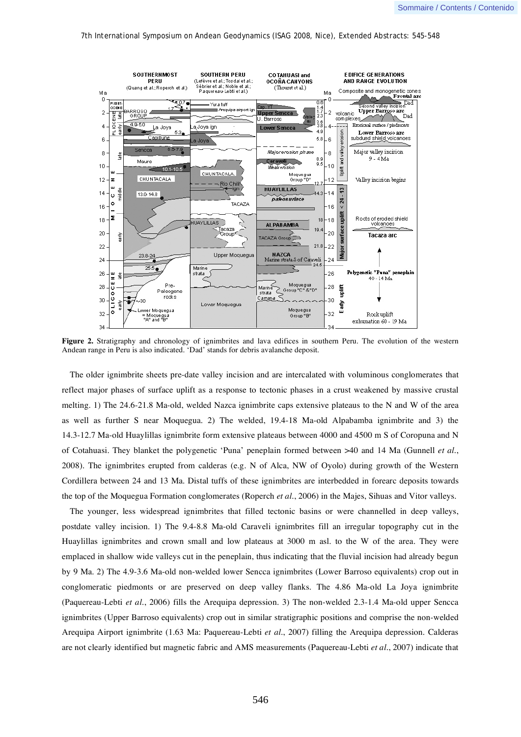#### 7th International Symposium on Andean Geodynamics (ISAG 2008, Nice), Extended Abstracts: 545-548



**Figure 2.** Stratigraphy and chronology of ignimbrites and lava edifices in southern Peru. The evolution of the western Andean range in Peru is also indicated. 'Dad' stands for debris avalanche deposit.

The older ignimbrite sheets pre-date valley incision and are intercalated with voluminous conglomerates that reflect major phases of surface uplift as a response to tectonic phases in a crust weakened by massive crustal melting. 1) The 24.6-21.8 Ma-old, welded Nazca ignimbrite caps extensive plateaus to the N and W of the area as well as further S near Moquegua. 2) The welded, 19.4-18 Ma-old Alpabamba ignimbrite and 3) the 14.3-12.7 Ma-old Huaylillas ignimbrite form extensive plateaus between 4000 and 4500 m S of Coropuna and N of Cotahuasi. They blanket the polygenetic 'Puna' peneplain formed between >40 and 14 Ma (Gunnell *et al.*, 2008). The ignimbrites erupted from calderas (e.g. N of Alca, NW of Oyolo) during growth of the Western Cordillera between 24 and 13 Ma. Distal tuffs of these ignimbrites are interbedded in forearc deposits towards the top of the Moquegua Formation conglomerates (Roperch *et al.*, 2006) in the Majes, Sihuas and Vitor valleys.

The younger, less widespread ignimbrites that filled tectonic basins or were channelled in deep valleys, postdate valley incision. 1) The 9.4-8.8 Ma-old Caraveli ignimbrites fill an irregular topography cut in the Huaylillas ignimbrites and crown small and low plateaus at 3000 m asl. to the W of the area. They were emplaced in shallow wide valleys cut in the peneplain, thus indicating that the fluvial incision had already begun by 9 Ma. 2) The 4.9-3.6 Ma-old non-welded lower Sencca ignimbrites (Lower Barroso equivalents) crop out in conglomeratic piedmonts or are preserved on deep valley flanks. The 4.86 Ma-old La Joya ignimbrite (Paquereau-Lebti *et al.*, 2006) fills the Arequipa depression. 3) The non-welded 2.3-1.4 Ma-old upper Sencca ignimbrites (Upper Barroso equivalents) crop out in similar stratigraphic positions and comprise the non-welded Arequipa Airport ignimbrite (1.63 Ma: Paquereau-Lebti *et al.*, 2007) filling the Arequipa depression. Calderas are not clearly identified but magnetic fabric and AMS measurements (Paquereau-Lebti *et al.*, 2007) indicate that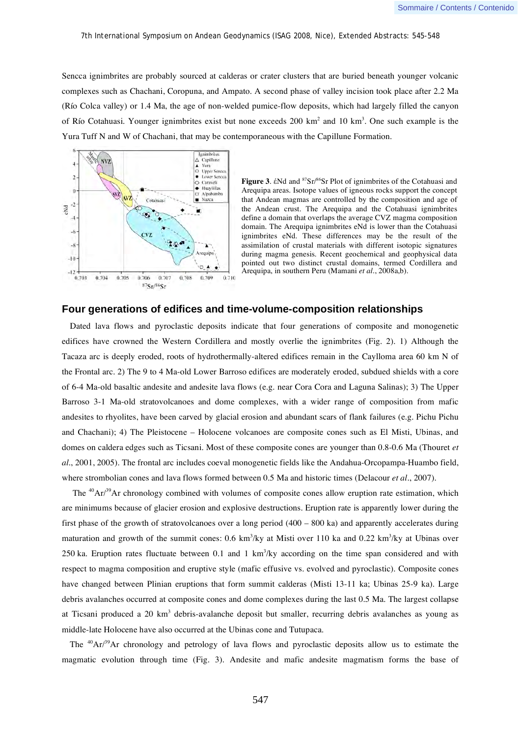Sencca ignimbrites are probably sourced at calderas or crater clusters that are buried beneath younger volcanic complexes such as Chachani, Coropuna, and Ampato. A second phase of valley incision took place after 2.2 Ma (Río Colca valley) or 1.4 Ma, the age of non-welded pumice-flow deposits, which had largely filled the canyon of Río Cotahuasi. Younger ignimbrites exist but none exceeds 200 km<sup>2</sup> and 10 km<sup>3</sup>. One such example is the Yura Tuff N and W of Chachani, that may be contemporaneous with the Capillune Formation.



**Figure 3.**  $\epsilon$ Nd and  ${}^{87}Sr/{}^{86}Sr$  Plot of ignimbrites of the Cotahuasi and Arequipa areas. Isotope values of igneous rocks support the concept that Andean magmas are controlled by the composition and age of the Andean crust. The Arequipa and the Cotahuasi ignimbrites define a domain that overlaps the average CVZ magma composition domain. The Arequipa ignimbrites eNd is lower than the Cotahuasi ignimbrites eNd. These differences may be the result of the assimilation of crustal materials with different isotopic signatures during magma genesis. Recent geochemical and geophysical data pointed out two distinct crustal domains, termed Cordillera and Arequipa, in southern Peru (Mamani *et al.*, 2008a,b).

### **Four generations of edifices and time-volume-composition relationships**

Dated lava flows and pyroclastic deposits indicate that four generations of composite and monogenetic edifices have crowned the Western Cordillera and mostly overlie the ignimbrites (Fig. 2). 1) Although the Tacaza arc is deeply eroded, roots of hydrothermally-altered edifices remain in the Caylloma area 60 km N of the Frontal arc. 2) The 9 to 4 Ma-old Lower Barroso edifices are moderately eroded, subdued shields with a core of 6-4 Ma-old basaltic andesite and andesite lava flows (e.g. near Cora Cora and Laguna Salinas); 3) The Upper Barroso 3-1 Ma-old stratovolcanoes and dome complexes, with a wider range of composition from mafic andesites to rhyolites, have been carved by glacial erosion and abundant scars of flank failures (e.g. Pichu Pichu and Chachani); 4) The Pleistocene – Holocene volcanoes are composite cones such as El Misti, Ubinas, and domes on caldera edges such as Ticsani. Most of these composite cones are younger than 0.8-0.6 Ma (Thouret *et al.*, 2001, 2005). The frontal arc includes coeval monogenetic fields like the Andahua-Orcopampa-Huambo field, where strombolian cones and lava flows formed between 0.5 Ma and historic times (Delacour *et al.*, 2007).

The  ${}^{40}Ar^{39}Ar$  chronology combined with volumes of composite cones allow eruption rate estimation, which are minimums because of glacier erosion and explosive destructions. Eruption rate is apparently lower during the first phase of the growth of stratovolcanoes over a long period (400 – 800 ka) and apparently accelerates during maturation and growth of the summit cones: 0.6 km<sup>3</sup>/ky at Misti over 110 ka and 0.22 km<sup>3</sup>/ky at Ubinas over 250 ka. Eruption rates fluctuate between 0.1 and 1  $km<sup>3</sup>/ky$  according on the time span considered and with respect to magma composition and eruptive style (mafic effusive vs. evolved and pyroclastic). Composite cones have changed between Plinian eruptions that form summit calderas (Misti 13-11 ka; Ubinas 25-9 ka). Large debris avalanches occurred at composite cones and dome complexes during the last 0.5 Ma. The largest collapse at Ticsani produced a 20 km<sup>3</sup> debris-avalanche deposit but smaller, recurring debris avalanches as young as middle-late Holocene have also occurred at the Ubinas cone and Tutupaca.

The <sup>40</sup>Ar/<sup>39</sup>Ar chronology and petrology of lava flows and pyroclastic deposits allow us to estimate the magmatic evolution through time (Fig. 3). Andesite and mafic andesite magmatism forms the base of